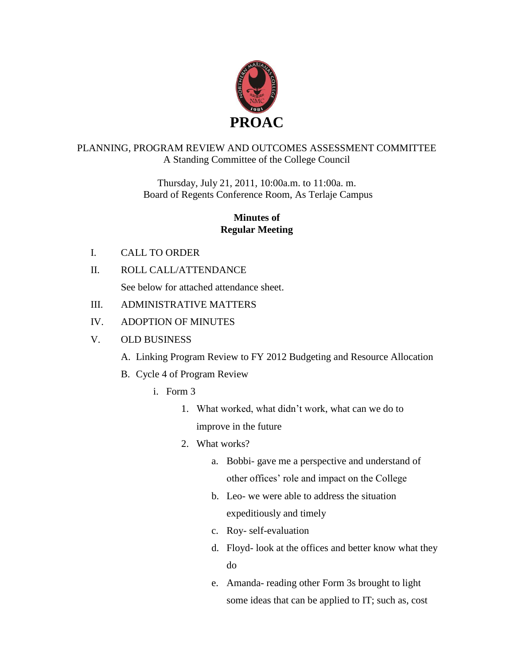

#### PLANNING, PROGRAM REVIEW AND OUTCOMES ASSESSMENT COMMITTEE A Standing Committee of the College Council

Thursday, July 21, 2011, 10:00a.m. to 11:00a. m. Board of Regents Conference Room, As Terlaje Campus

### **Minutes of Regular Meeting**

- I. CALL TO ORDER
- II. ROLL CALL/ATTENDANCE See below for attached attendance sheet.
- III. ADMINISTRATIVE MATTERS
- IV. ADOPTION OF MINUTES
- V. OLD BUSINESS
	- A. Linking Program Review to FY 2012 Budgeting and Resource Allocation
	- B. Cycle 4 of Program Review
		- i. Form 3
			- 1. What worked, what didn't work, what can we do to improve in the future
			- 2. What works?
				- a. Bobbi- gave me a perspective and understand of other offices' role and impact on the College
				- b. Leo- we were able to address the situation expeditiously and timely
				- c. Roy- self-evaluation
				- d. Floyd- look at the offices and better know what they do
				- e. Amanda- reading other Form 3s brought to light some ideas that can be applied to IT; such as, cost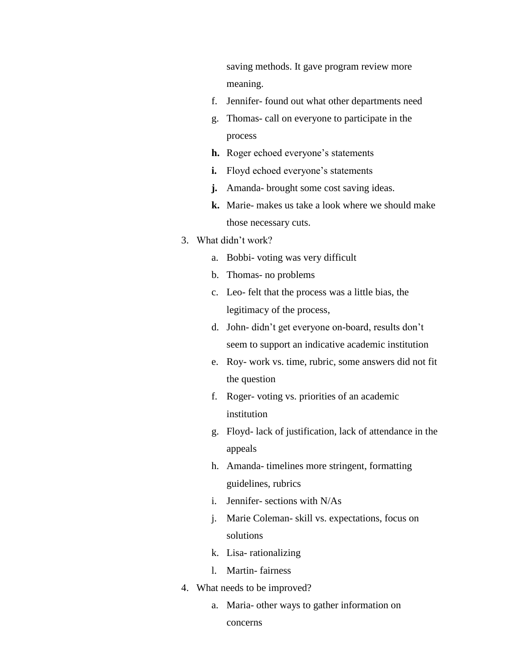saving methods. It gave program review more meaning.

- f. Jennifer- found out what other departments need
- g. Thomas- call on everyone to participate in the process
- **h.** Roger echoed everyone's statements
- **i.** Floyd echoed everyone's statements
- **j.** Amanda- brought some cost saving ideas.
- **k.** Marie- makes us take a look where we should make those necessary cuts.

#### 3. What didn't work?

- a. Bobbi- voting was very difficult
- b. Thomas- no problems
- c. Leo- felt that the process was a little bias, the legitimacy of the process,
- d. John- didn't get everyone on-board, results don't seem to support an indicative academic institution
- e. Roy- work vs. time, rubric, some answers did not fit the question
- f. Roger- voting vs. priorities of an academic institution
- g. Floyd- lack of justification, lack of attendance in the appeals
- h. Amanda- timelines more stringent, formatting guidelines, rubrics
- i. Jennifer- sections with N/As
- j. Marie Coleman- skill vs. expectations, focus on solutions
- k. Lisa- rationalizing
- l. Martin- fairness
- 4. What needs to be improved?
	- a. Maria- other ways to gather information on
		- concerns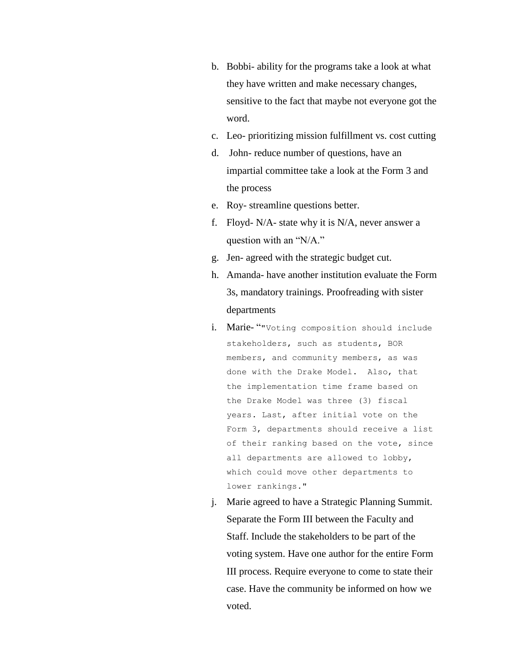- b. Bobbi- ability for the programs take a look at what they have written and make necessary changes, sensitive to the fact that maybe not everyone got the word.
- c. Leo- prioritizing mission fulfillment vs. cost cutting
- d. John- reduce number of questions, have an impartial committee take a look at the Form 3 and the process
- e. Roy- streamline questions better.
- f. Floyd- N/A- state why it is N/A, never answer a question with an "N/A."
- g. Jen- agreed with the strategic budget cut.
- h. Amanda- have another institution evaluate the Form 3s, mandatory trainings. Proofreading with sister departments
- i. Marie- ""Voting composition should include stakeholders, such as students, BOR members, and community members, as was done with the Drake Model. Also, that the implementation time frame based on the Drake Model was three (3) fiscal years. Last, after initial vote on the Form 3, departments should receive a list of their ranking based on the vote, since all departments are allowed to lobby, which could move other departments to lower rankings."
- j. Marie agreed to have a Strategic Planning Summit. Separate the Form III between the Faculty and Staff. Include the stakeholders to be part of the voting system. Have one author for the entire Form III process. Require everyone to come to state their case. Have the community be informed on how we voted.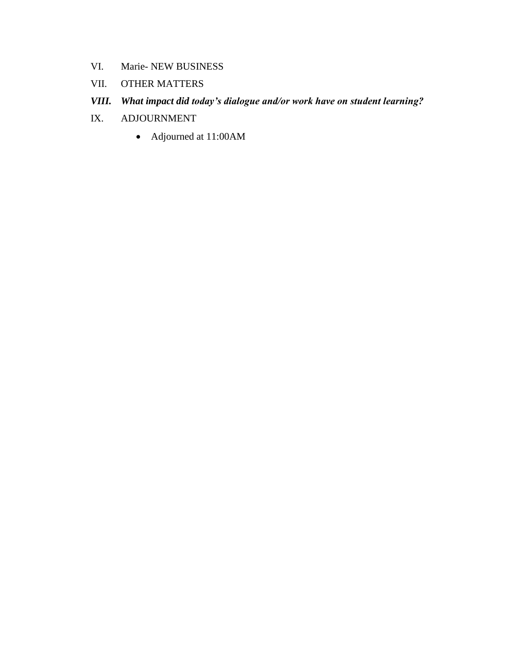- VI. Marie- NEW BUSINESS
- VII. OTHER MATTERS

## *VIII. What impact did today's dialogue and/or work have on student learning?*

- IX. ADJOURNMENT
	- Adjourned at 11:00AM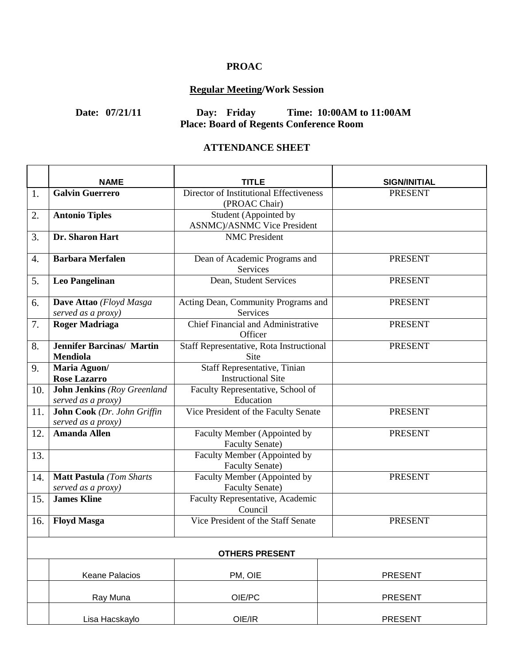### **PROAC**

# **Regular Meeting/Work Session**

# **Date: 07/21/11 Day: Friday Time: 10:00AM to 11:00AM Place: Board of Regents Conference Room**

#### **ATTENDANCE SHEET**

|     | <b>NAME</b>                        | TITLE                                                        | <b>SIGN/INITIAL</b> |
|-----|------------------------------------|--------------------------------------------------------------|---------------------|
| 1.  | <b>Galvin Guerrero</b>             | Director of Institutional Effectiveness                      | <b>PRESENT</b>      |
|     |                                    | (PROAC Chair)                                                |                     |
| 2.  | <b>Antonio Tiples</b>              | Student (Appointed by<br><b>ASNMC</b> )/ASNMC Vice President |                     |
| 3.  | Dr. Sharon Hart                    | <b>NMC</b> President                                         |                     |
|     |                                    |                                                              |                     |
| 4.  | <b>Barbara Merfalen</b>            | Dean of Academic Programs and                                | <b>PRESENT</b>      |
|     |                                    | Services                                                     |                     |
| 5.  | <b>Leo Pangelinan</b>              | Dean, Student Services                                       | <b>PRESENT</b>      |
|     |                                    |                                                              |                     |
| 6.  | Dave Attao (Floyd Masga            | Acting Dean, Community Programs and                          | <b>PRESENT</b>      |
|     | served as a proxy)                 | Services                                                     |                     |
| 7.  | <b>Roger Madriaga</b>              | Chief Financial and Administrative<br>Officer                | <b>PRESENT</b>      |
| 8.  | <b>Jennifer Barcinas/ Martin</b>   | Staff Representative, Rota Instructional                     | <b>PRESENT</b>      |
|     | <b>Mendiola</b>                    | Site                                                         |                     |
| 9.  | Maria Aguon/                       | Staff Representative, Tinian                                 |                     |
|     | <b>Rose Lazarro</b>                | <b>Instructional Site</b>                                    |                     |
| 10. | <b>John Jenkins</b> (Roy Greenland | Faculty Representative, School of                            |                     |
|     | served as a proxy)                 | Education                                                    |                     |
| 11. | John Cook (Dr. John Griffin        | Vice President of the Faculty Senate                         | <b>PRESENT</b>      |
|     | served as a proxy)                 |                                                              |                     |
| 12. | <b>Amanda Allen</b>                | Faculty Member (Appointed by                                 | <b>PRESENT</b>      |
|     |                                    | <b>Faculty Senate)</b>                                       |                     |
| 13. |                                    | Faculty Member (Appointed by                                 |                     |
|     |                                    | <b>Faculty Senate)</b>                                       |                     |
| 14. | <b>Matt Pastula</b> (Tom Sharts    | Faculty Member (Appointed by                                 | <b>PRESENT</b>      |
|     | served as a proxy)                 | Faculty Senate)                                              |                     |
| 15. | <b>James Kline</b>                 | Faculty Representative, Academic<br>Council                  |                     |
| 16. | <b>Floyd Masga</b>                 | Vice President of the Staff Senate                           | <b>PRESENT</b>      |
|     |                                    |                                                              |                     |
|     |                                    | <b>OTHERS PRESENT</b>                                        |                     |
|     | <b>Keane Palacios</b>              | PM, OIE                                                      | <b>PRESENT</b>      |
|     | Ray Muna                           | OIE/PC                                                       | <b>PRESENT</b>      |
|     |                                    |                                                              |                     |
|     | Lisa Hacskaylo                     | OIE/IR                                                       | <b>PRESENT</b>      |